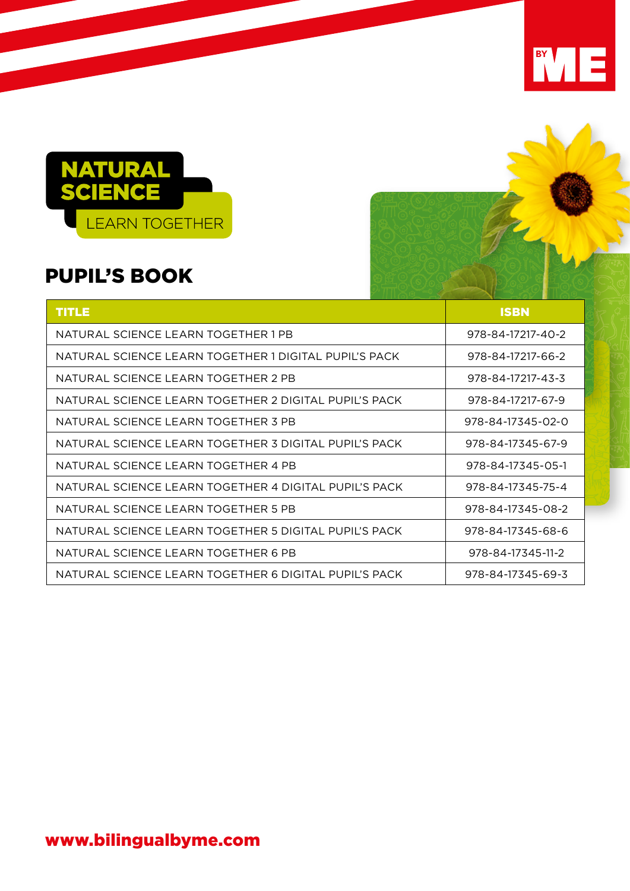

### PUPIL'S BOOK

| <b>TITLE</b>                                          | <b>ISBN</b>       |
|-------------------------------------------------------|-------------------|
| NATURAL SCIENCE LEARN TOGETHER 1 PB                   | 978-84-17217-40-2 |
| NATURAL SCIENCE LEARN TOGETHER 1 DIGITAL PUPIL'S PACK | 978-84-17217-66-2 |
| NATURAL SCIENCE LEARN TOGETHER 2 PB                   | 978-84-17217-43-3 |
| NATURAL SCIENCE LEARN TOGETHER 2 DIGITAL PUPIL'S PACK | 978-84-17217-67-9 |
| NATURAL SCIENCE LEARN TOGETHER 3 PB                   | 978-84-17345-02-0 |
| NATURAL SCIENCE LEARN TOGETHER 3 DIGITAL PUPIL'S PACK | 978-84-17345-67-9 |
| NATURAL SCIENCE LEARN TOGETHER 4 PB                   | 978-84-17345-05-1 |
| NATURAL SCIENCE LEARN TOGETHER 4 DIGITAL PUPIL'S PACK | 978-84-17345-75-4 |
| NATURAL SCIENCE LEARN TOGETHER 5 PB                   | 978-84-17345-08-2 |
| NATURAL SCIENCE LEARN TOGETHER 5 DIGITAL PUPIL'S PACK | 978-84-17345-68-6 |
| NATURAL SCIENCE LEARN TOGETHER 6 PB                   | 978-84-17345-11-2 |
| NATURAL SCIENCE LEARN TOGETHER 6 DIGITAL PUPIL'S PACK | 978-84-17345-69-3 |

BY TE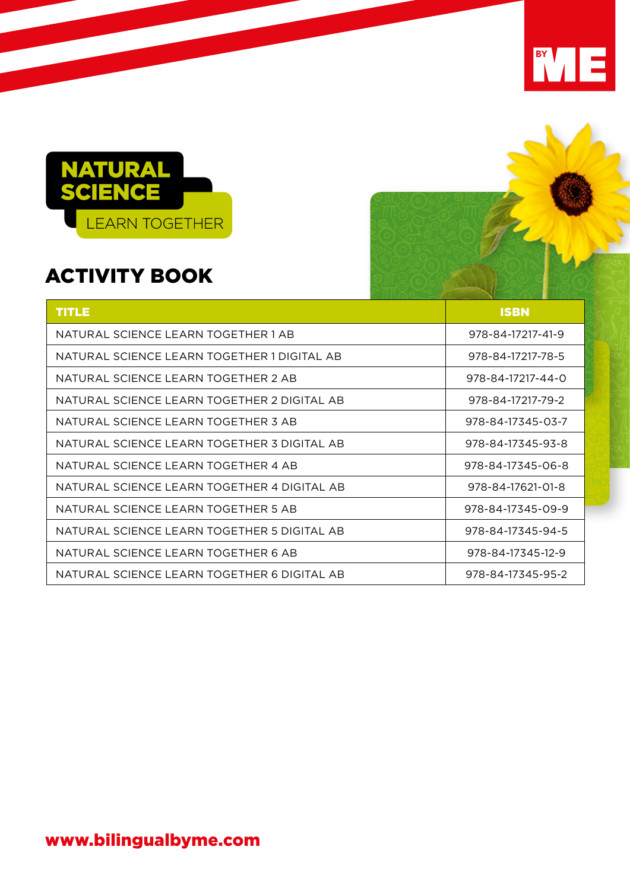

# ACTIVITY BOOK

| <b>TITLE</b>                                | <b>ISBN</b>       |
|---------------------------------------------|-------------------|
| NATURAL SCIENCE LEARN TOGETHER 1 AB         | 978-84-17217-41-9 |
| NATURAL SCIENCE LEARN TOGETHER 1 DIGITAL AB | 978-84-17217-78-5 |
| NATURAL SCIENCE LEARN TOGETHER 2 AB         | 978-84-17217-44-0 |
| NATURAL SCIENCE LEARN TOGETHER 2 DIGITAL AB | 978-84-17217-79-2 |
| NATURAL SCIENCE LEARN TOGETHER 3 AB         | 978-84-17345-03-7 |
| NATURAL SCIENCE LEARN TOGETHER 3 DIGITAL AB | 978-84-17345-93-8 |
| NATURAL SCIENCE LEARN TOGETHER 4 AB         | 978-84-17345-06-8 |
| NATURAL SCIENCE LEARN TOGETHER 4 DIGITAL AB | 978-84-17621-01-8 |
| NATURAL SCIENCE LEARN TOGETHER 5 AB         | 978-84-17345-09-9 |
| NATURAL SCIENCE LEARN TOGETHER 5 DIGITAL AB | 978-84-17345-94-5 |
| NATURAL SCIENCE LEARN TOGETHER 6 AB         | 978-84-17345-12-9 |
| NATURAL SCIENCE LEARN TOGETHER 6 DIGITAL AB | 978-84-17345-95-2 |

**INVIE**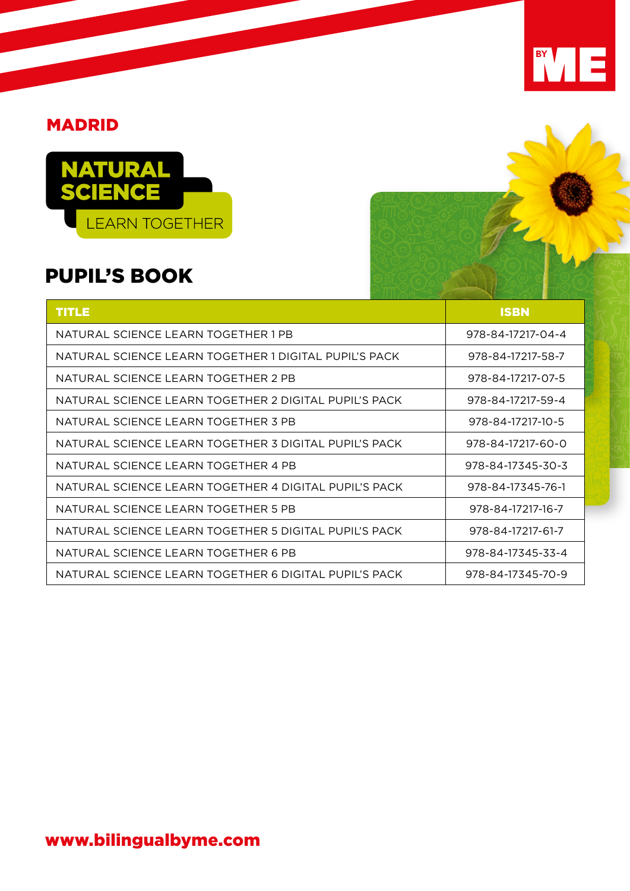#### MADRID



### PUPIL'S BOOK

| <b>TITLE</b>                                          | <b>ISBN</b>       |
|-------------------------------------------------------|-------------------|
| NATURAL SCIENCE LEARN TOGETHER 1 PB                   | 978-84-17217-04-4 |
| NATURAL SCIENCE LEARN TOGETHER 1 DIGITAL PUPIL'S PACK | 978-84-17217-58-7 |
| NATURAL SCIENCE LEARN TOGETHER 2 PB                   | 978-84-17217-07-5 |
| NATURAL SCIENCE LEARN TOGETHER 2 DIGITAL PUPIL'S PACK | 978-84-17217-59-4 |
| NATURAL SCIENCE LEARN TOGETHER 3 PB                   | 978-84-17217-10-5 |
| NATURAL SCIENCE LEARN TOGETHER 3 DIGITAL PUPIL'S PACK | 978-84-17217-60-0 |
| NATURAL SCIENCE LEARN TOGETHER 4 PB                   | 978-84-17345-30-3 |
| NATURAL SCIENCE LEARN TOGETHER 4 DIGITAL PUPIL'S PACK | 978-84-17345-76-1 |
| NATURAL SCIENCE LEARN TOGETHER 5 PB                   | 978-84-17217-16-7 |
| NATURAL SCIENCE LEARN TOGETHER 5 DIGITAL PUPIL'S PACK | 978-84-17217-61-7 |
| NATURAL SCIENCE LEARN TOGETHER 6 PB                   | 978-84-17345-33-4 |
| NATURAL SCIENCE LEARN TOGETHER 6 DIGITAL PUPIL'S PACK | 978-84-17345-70-9 |

BY TE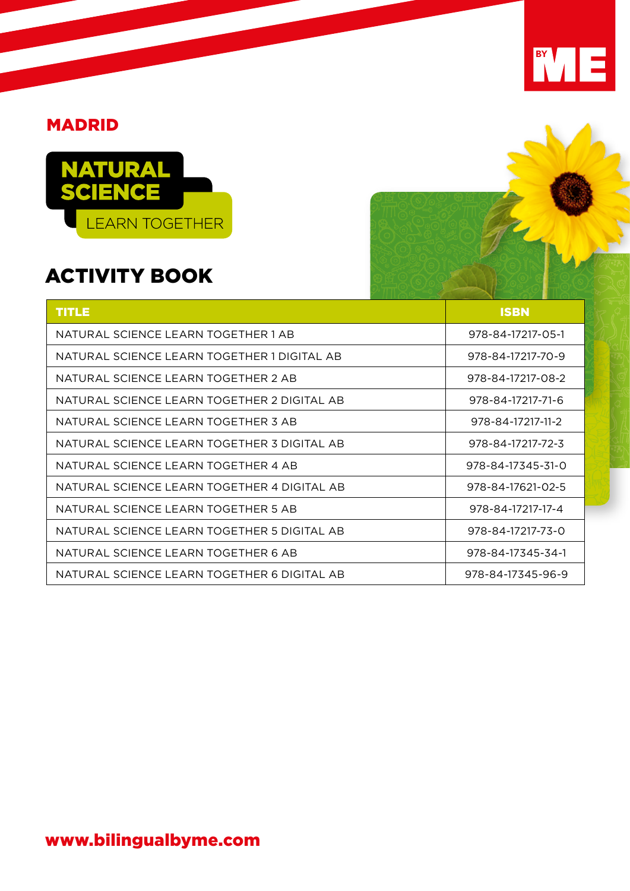#### MADRID



## ACTIVITY BOOK

| <b>TITLE</b>                                | <b>ISBN</b>       |
|---------------------------------------------|-------------------|
| NATURAL SCIENCE LEARN TOGETHER 1 AB         | 978-84-17217-05-1 |
| NATURAL SCIENCE LEARN TOGETHER 1 DIGITAL AB | 978-84-17217-70-9 |
| NATURAL SCIENCE LEARN TOGETHER 2 AB         | 978-84-17217-08-2 |
| NATURAL SCIENCE LEARN TOGETHER 2 DIGITAL AB | 978-84-17217-71-6 |
| NATURAL SCIENCE LEARN TOGETHER 3 AB         | 978-84-17217-11-2 |
| NATURAL SCIENCE LEARN TOGETHER 3 DIGITAL AB | 978-84-17217-72-3 |
| NATURAL SCIENCE LEARN TOGETHER 4 AB         | 978-84-17345-31-0 |
| NATURAL SCIENCE LEARN TOGETHER 4 DIGITAL AB | 978-84-17621-02-5 |
| NATURAL SCIENCE LEARN TOGETHER 5 AB         | 978-84-17217-17-4 |
| NATURAL SCIENCE LEARN TOGETHER 5 DIGITAL AB | 978-84-17217-73-0 |
| NATURAL SCIENCE LEARN TOGETHER 6 AB         | 978-84-17345-34-1 |
| NATURAL SCIENCE LEARN TOGETHER 6 DIGITAL AB | 978-84-17345-96-9 |

BY TE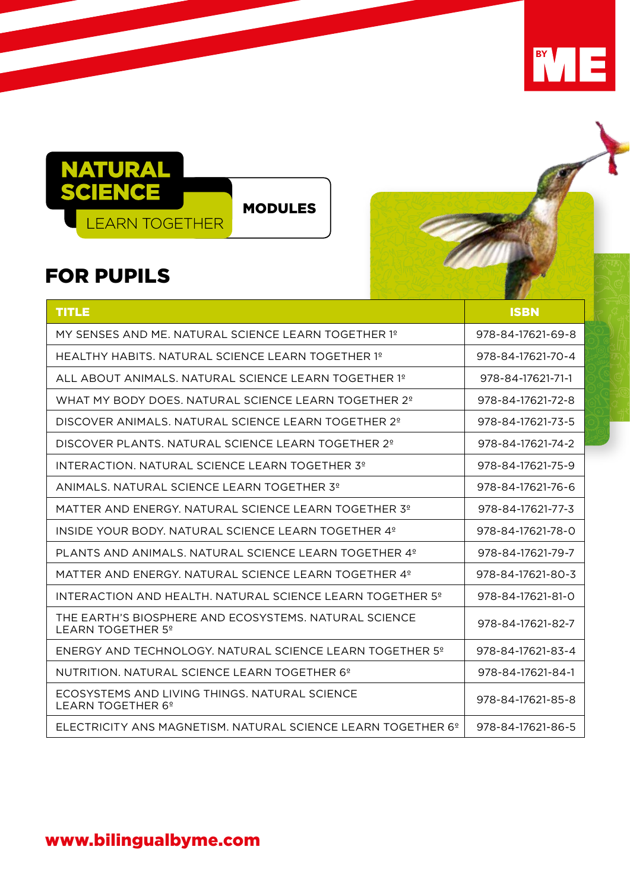



### FOR PUPILS

| <b>TITLE</b>                                                                           | <b>ISBN</b>       |
|----------------------------------------------------------------------------------------|-------------------|
| MY SENSES AND ME. NATURAL SCIENCE LEARN TOGETHER 1º                                    | 978-84-17621-69-8 |
| HEALTHY HABITS, NATURAL SCIENCE LEARN TOGETHER 1º                                      | 978-84-17621-70-4 |
| ALL ABOUT ANIMALS. NATURAL SCIENCE LEARN TOGETHER 1º                                   | 978-84-17621-71-1 |
| WHAT MY BODY DOES, NATURAL SCIENCE LEARN TOGETHER 2 <sup>°</sup>                       | 978-84-17621-72-8 |
| DISCOVER ANIMALS, NATURAL SCIENCE LEARN TOGETHER 2º                                    | 978-84-17621-73-5 |
| DISCOVER PLANTS. NATURAL SCIENCE LEARN TOGETHER 2 <sup>°</sup>                         | 978-84-17621-74-2 |
| INTERACTION, NATURAL SCIENCE LEARN TOGETHER 3º                                         | 978-84-17621-75-9 |
| ANIMALS, NATURAL SCIENCE LEARN TOGETHER 3º                                             | 978-84-17621-76-6 |
| MATTER AND ENERGY. NATURAL SCIENCE LEARN TOGETHER 3º                                   | 978-84-17621-77-3 |
| INSIDE YOUR BODY. NATURAL SCIENCE LEARN TOGETHER 4°                                    | 978-84-17621-78-0 |
| PLANTS AND ANIMALS. NATURAL SCIENCE LEARN TOGETHER 4°                                  | 978-84-17621-79-7 |
| MATTER AND ENERGY. NATURAL SCIENCE LEARN TOGETHER 4°                                   | 978-84-17621-80-3 |
| INTERACTION AND HEALTH. NATURAL SCIENCE LEARN TOGETHER 5°                              | 978-84-17621-81-0 |
| THE EARTH'S BIOSPHERE AND ECOSYSTEMS. NATURAL SCIENCE<br>LEARN TOGETHER 5 <sup>°</sup> | 978-84-17621-82-7 |
| ENERGY AND TECHNOLOGY. NATURAL SCIENCE LEARN TOGETHER 5°                               | 978-84-17621-83-4 |
| NUTRITION. NATURAL SCIENCE LEARN TOGETHER 6 <sup>°</sup>                               | 978-84-17621-84-1 |
| ECOSYSTEMS AND LIVING THINGS, NATURAL SCIENCE<br>LEARN TOGETHER 6 <sup>°</sup>         | 978-84-17621-85-8 |
| ELECTRICITY ANS MAGNETISM. NATURAL SCIENCE LEARN TOGETHER 6°                           | 978-84-17621-86-5 |

#### www.bilingualbyme.com